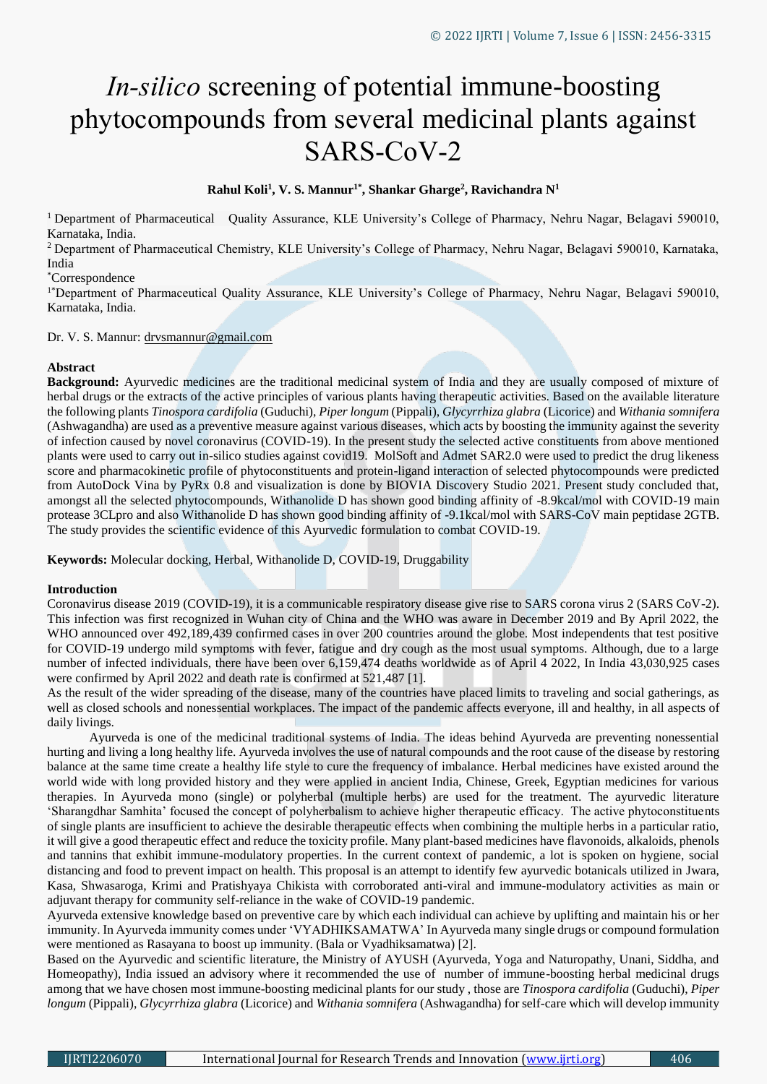# *In-silico* screening of potential immune-boosting phytocompounds from several medicinal plants against SARS-CoV-2

## **Rahul Koli<sup>1</sup> , V. S. Mannur1\* , Shankar Gharge<sup>2</sup> , Ravichandra N<sup>1</sup>**

<sup>1</sup> Department of Pharmaceutical Quality Assurance, KLE University's College of Pharmacy, Nehru Nagar, Belagavi 590010, Karnataka, India.

<sup>2</sup> Department of Pharmaceutical Chemistry, KLE University's College of Pharmacy, Nehru Nagar, Belagavi 590010, Karnataka, India

\*Correspondence

<sup>1\*</sup>Department of Pharmaceutical Quality Assurance, KLE University's College of Pharmacy, Nehru Nagar, Belagavi 590010, Karnataka, India.

#### Dr. V. S. Mannur: drvsmannur@gmail.com

## **Abstract**

**Background:** Ayurvedic medicines are the traditional medicinal system of India and they are usually composed of mixture of herbal drugs or the extracts of the active principles of various plants having therapeutic activities. Based on the available literature the following plants *Tinospora cardifolia* (Guduchi), *Piper longum* (Pippali), *Glycyrrhiza glabra* (Licorice) and *Withania somnifera*  (Ashwagandha) are used as a preventive measure against various diseases, which acts by boosting the immunity against the severity of infection caused by novel coronavirus (COVID-19). In the present study the selected active constituents from above mentioned plants were used to carry out in-silico studies against covid19. MolSoft and Admet SAR2.0 were used to predict the drug likeness score and pharmacokinetic profile of phytoconstituents and protein-ligand interaction of selected phytocompounds were predicted from AutoDock Vina by PyRx 0.8 and visualization is done by BIOVIA Discovery Studio 2021. Present study concluded that, amongst all the selected phytocompounds, Withanolide D has shown good binding affinity of -8.9kcal/mol with COVID-19 main protease 3CLpro and also Withanolide D has shown good binding affinity of -9.1kcal/mol with SARS-CoV main peptidase 2GTB. The study provides the scientific evidence of this Ayurvedic formulation to combat COVID-19.

**Keywords:** Molecular docking, Herbal, Withanolide D, COVID-19, Druggability

## **Introduction**

Coronavirus disease 2019 (COVID-19), it is a communicable respiratory disease give rise to SARS corona virus 2 (SARS CoV-2). This infection was first recognized in Wuhan city of China and the WHO was aware in December 2019 and By April 2022, the WHO announced over 492,189,439 confirmed cases in over 200 countries around the globe. Most independents that test positive for COVID-19 undergo mild symptoms with fever, fatigue and dry cough as the most usual symptoms. Although, due to a large number of infected individuals, there have been over 6,159,474 deaths worldwide as of April 4 2022, In India 43,030,925 cases were confirmed by April 2022 and death rate is confirmed at 521,487 [1].

As the result of the wider spreading of the disease, many of the countries have placed limits to traveling and social gatherings, as well as closed schools and nonessential workplaces. The impact of the pandemic affects everyone, ill and healthy, in all aspects of daily livings.

 Ayurveda is one of the medicinal traditional systems of India. The ideas behind Ayurveda are preventing nonessential hurting and living a long healthy life. Ayurveda involves the use of natural compounds and the root cause of the disease by restoring balance at the same time create a healthy life style to cure the frequency of imbalance. Herbal medicines have existed around the world wide with long provided history and they were applied in ancient India, Chinese, Greek, Egyptian medicines for various therapies. In Ayurveda mono (single) or polyherbal (multiple herbs) are used for the treatment. The ayurvedic literature 'Sharangdhar Samhita' focused the concept of polyherbalism to achieve higher therapeutic efficacy. The active phytoconstituents of single plants are insufficient to achieve the desirable therapeutic effects when combining the multiple herbs in a particular ratio, it will give a good therapeutic effect and reduce the toxicity profile. Many plant-based medicines have flavonoids, alkaloids, phenols and tannins that exhibit immune-modulatory properties. In the current context of pandemic, a lot is spoken on hygiene, social distancing and food to prevent impact on health. This proposal is an attempt to identify few ayurvedic botanicals utilized in Jwara, Kasa, Shwasaroga, Krimi and Pratishyaya Chikista with corroborated anti-viral and immune-modulatory activities as main or adjuvant therapy for community self-reliance in the wake of COVID-19 pandemic.

Ayurveda extensive knowledge based on preventive care by which each individual can achieve by uplifting and maintain his or her immunity. In Ayurveda immunity comes under 'VYADHIKSAMATWA' In Ayurveda many single drugs or compound formulation were mentioned as Rasayana to boost up immunity. (Bala or Vyadhiksamatwa) [2].

Based on the Ayurvedic and scientific literature, the Ministry of AYUSH (Ayurveda, Yoga and Naturopathy, Unani, Siddha, and Homeopathy), India issued an advisory where it recommended the use of number of immune-boosting herbal medicinal drugs among that we have chosen most immune-boosting medicinal plants for our study , those are *Tinospora cardifolia* (Guduchi), *Piper longum* (Pippali), *Glycyrrhiza glabra* (Licorice) and *Withania somnifera* (Ashwagandha) for self-care which will develop immunity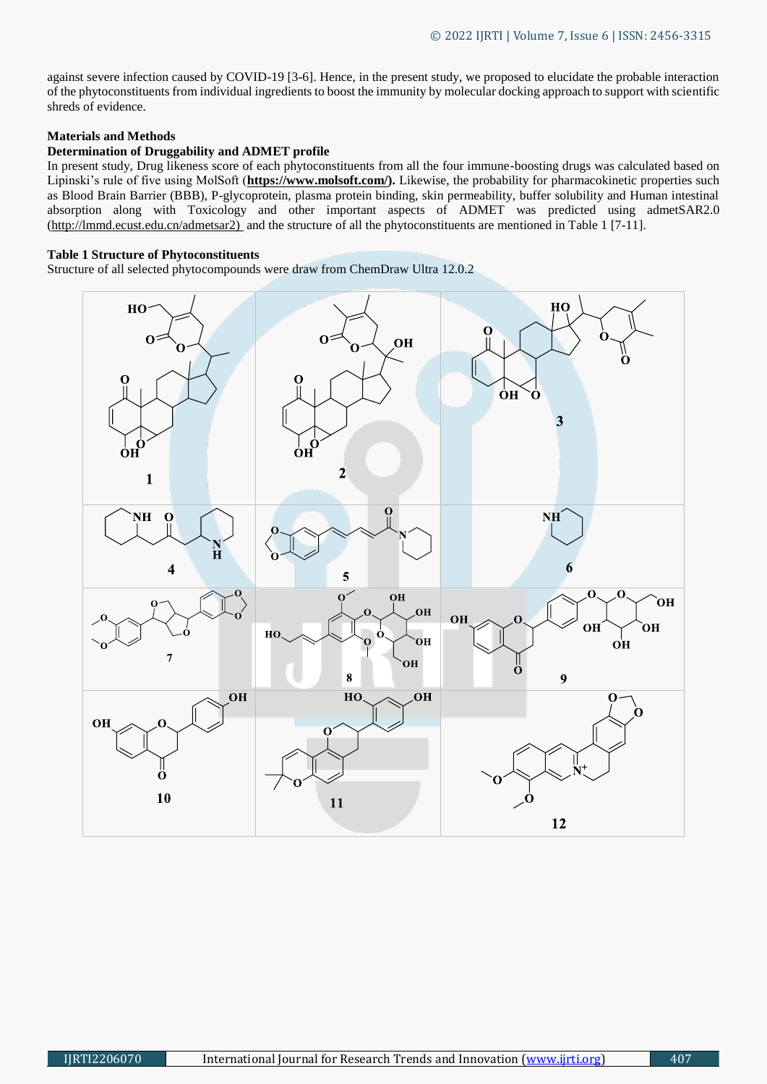against severe infection caused by COVID-19 [3-6]. Hence, in the present study, we proposed to elucidate the probable interaction of the phytoconstituents from individual ingredients to boost the immunity by molecular docking approach to support with scientific shreds of evidence.

## **Materials and Methods**

## **Determination of Druggability and ADMET profile**

In present study, Drug likeness score of each phytoconstituents from all the four immune-boosting drugs was calculated based on Lipinski's rule of five using MolSoft (**[https://www.molsoft.com/\)](https://www.molsoft.com/).** Likewise, the probability for pharmacokinetic properties such as Blood Brain Barrier (BBB), P-glycoprotein, plasma protein binding, skin permeability, buffer solubility and Human intestinal absorption along with Toxicology and other important aspects of ADMET was predicted using admetSAR2.0 [\(http://lmmd.ecust.edu.cn/admetsar2\)](http://lmmd.ecust.edu.cn/admetsar2)%20%5b5-9) and the structure of all the phytoconstituents are mentioned in Table 1 [7-11].

## **Table 1 Structure of Phytoconstituents**

Structure of all selected phytocompounds were draw from ChemDraw Ultra 12.0.2

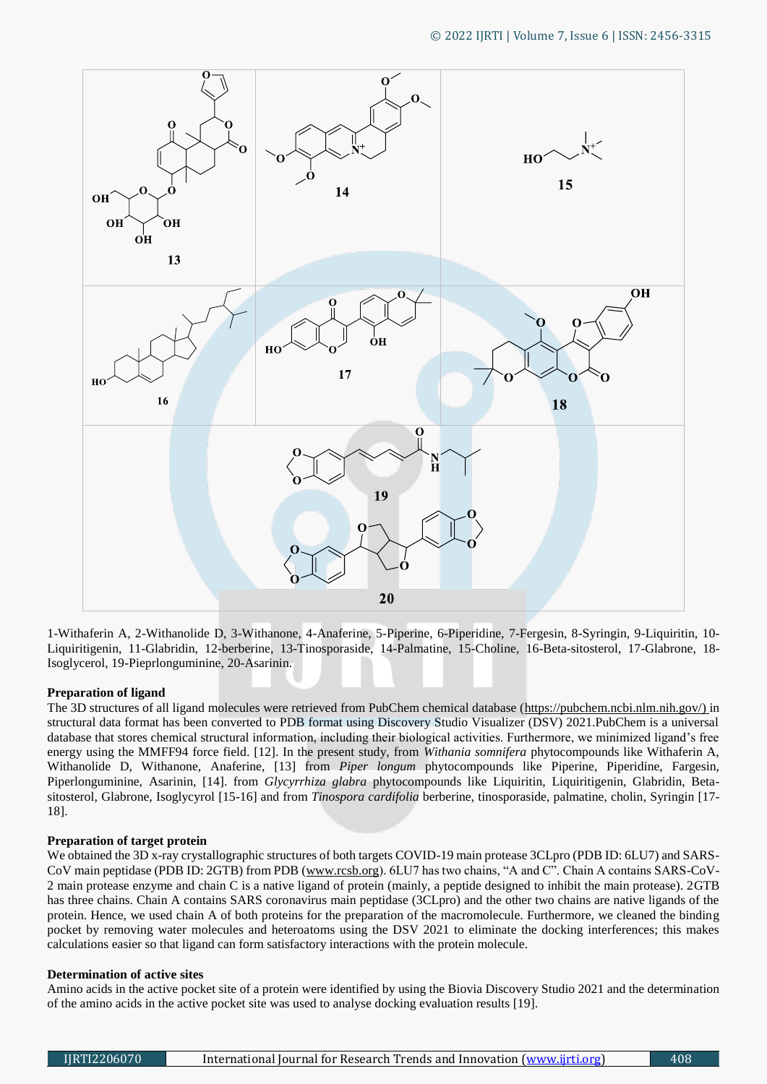

1-Withaferin A, 2-Withanolide D, 3-Withanone, 4-Anaferine, 5-Piperine, 6-Piperidine, 7-Fergesin, 8-Syringin, 9-Liquiritin, 10- Liquiritigenin, 11-Glabridin, 12-berberine, 13-Tinosporaside, 14-Palmatine, 15-Choline, 16-Beta-sitosterol, 17-Glabrone, 18- Isoglycerol, 19-Pieprlonguminine, 20-Asarinin.

## **Preparation of ligand**

The 3D structures of all ligand molecules were retrieved from PubChem chemical database [\(https://pubchem.ncbi.nlm.nih.gov/\)](https://pubchem.ncbi.nlm.nih.gov/) in structural data format has been converted to PDB format using Discovery Studio Visualizer (DSV) 2021.PubChem is a universal database that stores chemical structural information, including their biological activities. Furthermore, we minimized ligand's free energy using the MMFF94 force field. [12]. In the present study, from *Withania somnifera* phytocompounds like Withaferin A, Withanolide D, Withanone, Anaferine, [13] from *Piper longum* phytocompounds like Piperine, Piperidine, Fargesin, Piperlonguminine, Asarinin, [14]. from *Glycyrrhiza glabra* phytocompounds like Liquiritin, Liquiritigenin, Glabridin, Betasitosterol, Glabrone, Isoglycyrol [15-16] and from *Tinospora cardifolia* berberine, tinosporaside, palmatine, cholin, Syringin [17- 18].

## **Preparation of target protein**

We obtained the 3D x-ray crystallographic structures of both targets COVID-19 main protease 3CLpro (PDB ID: 6LU7) and SARS-CoV main peptidase (PDB ID: 2GTB) from PDB (www.rcsb.org). 6LU7 has two chains, "A and C". Chain A contains SARS-CoV-2 main protease enzyme and chain C is a native ligand of protein (mainly, a peptide designed to inhibit the main protease). 2GTB has three chains. Chain A contains SARS coronavirus main peptidase (3CLpro) and the other two chains are native ligands of the protein. Hence, we used chain A of both proteins for the preparation of the macromolecule. Furthermore, we cleaned the binding pocket by removing water molecules and heteroatoms using the DSV 2021 to eliminate the docking interferences; this makes calculations easier so that ligand can form satisfactory interactions with the protein molecule.

## **Determination of active sites**

Amino acids in the active pocket site of a protein were identified by using the Biovia Discovery Studio 2021 and the determination of the amino acids in the active pocket site was used to analyse docking evaluation results [19].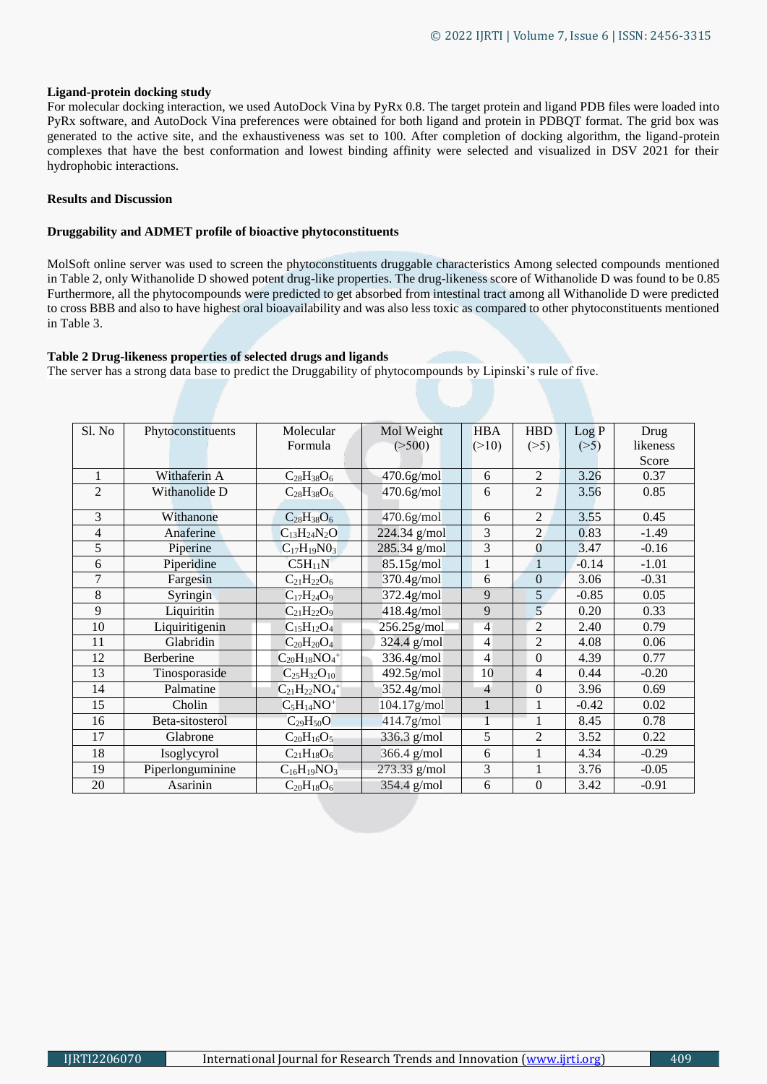#### **Ligand-protein docking study**

For molecular docking interaction, we used AutoDock Vina by PyRx 0.8. The target protein and ligand PDB files were loaded into PyRx software, and AutoDock Vina preferences were obtained for both ligand and protein in PDBQT format. The grid box was generated to the active site, and the exhaustiveness was set to 100. After completion of docking algorithm, the ligand-protein complexes that have the best conformation and lowest binding affinity were selected and visualized in DSV 2021 for their hydrophobic interactions.

#### **Results and Discussion**

## **Druggability and ADMET profile of bioactive phytoconstituents**

MolSoft online server was used to screen the phytoconstituents druggable characteristics Among selected compounds mentioned in Table 2, only Withanolide D showed potent drug-like properties. The drug-likeness score of Withanolide D was found to be 0.85 Furthermore, all the phytocompounds were predicted to get absorbed from intestinal tract among all Withanolide D were predicted to cross BBB and also to have highest oral bioavailability and was also less toxic as compared to other phytoconstituents mentioned in Table 3.

#### **Table 2 Drug-likeness properties of selected drugs and ligands**

The server has a strong data base to predict the Druggability of phytocompounds by Lipinski's rule of five.

| Sl. No         | Phytoconstituents | Molecular                       | Mol Weight             | <b>HBA</b>     | <b>HBD</b>       | Log P   | Drug     |
|----------------|-------------------|---------------------------------|------------------------|----------------|------------------|---------|----------|
|                |                   | Formula                         | ( >500)                | (>10)          | (>5)             | (>5)    | likeness |
|                |                   |                                 |                        |                |                  |         | Score    |
| 1              | Withaferin A      | $C_{28}H_{38}O_6$               | $470.6$ g/mol          | 6              | 2                | 3.26    | 0.37     |
| $\overline{2}$ | Withanolide D     | $C_{28}H_{38}O_6$               | $470.6$ g/mol          | 6              | $\overline{2}$   | 3.56    | 0.85     |
| 3              | Withanone         | $C_{28}H_{38}O_6$               | $470.6$ g/mol          | 6              | 2                | 3.55    | 0.45     |
| 4              | Anaferine         | $C_{13}H_{24}N_2O$              | 224.34 g/mol           | 3              | $\overline{2}$   | 0.83    | $-1.49$  |
| 5              | Piperine          | $C_{17}H_{19}N0_3$              | 285.34 g/mol           | 3              | $\bf{0}$         | 3.47    | $-0.16$  |
| 6              | Piperidine        | $C5H_{11}N$                     | $85.15$ g/mol          |                | $\mathbf{1}$     | $-0.14$ | $-1.01$  |
| 7              | Fargesin          | $C_{21}H_{22}O_6$               | 370.4 <sub>g/mol</sub> | 6              | $\overline{0}$   | 3.06    | $-0.31$  |
| 8              | Syringin          | $C_{17}H_{24}O_9$               | 372.4g/mol             | 9              | 5                | $-0.85$ | 0.05     |
| 9              | Liquiritin        | $C_{21}H_{22}O_9$               | 418.4g/mol             | 9              | 5                | 0.20    | 0.33     |
| 10             | Liquiritigenin    | $C_{15}H_{12}O_4$               | $256.25$ g/mol         | $\overline{4}$ | $\overline{2}$   | 2.40    | 0.79     |
| 11             | Glabridin         | $C_{20}H_{20}O_4$               | $324.4$ g/mol          | 4              | $\overline{2}$   | 4.08    | 0.06     |
| 12             | Berberine         | $C_{20}H_{18}NO_4$ <sup>+</sup> | 336.4g/mol             | $\overline{4}$ | $\overline{0}$   | 4.39    | 0.77     |
| 13             | Tinosporaside     | $C_{25}H_{32}O_{10}$            | $492.5$ g/mol          | 10             | 4                | 0.44    | $-0.20$  |
| 14             | Palmatine         | $C_{21}H_{22}NO_4$ <sup>+</sup> | 352.4g/mol             | $\overline{4}$ | $\overline{0}$   | 3.96    | 0.69     |
| 15             | Cholin            | $C_5H_{14}NO^+$                 | 104.17g/mol            |                | 1                | $-0.42$ | 0.02     |
| 16             | Beta-sitosterol   | $C_{29}H_{50}O$                 | $414.7$ g/mol          |                |                  | 8.45    | 0.78     |
| 17             | Glabrone          | $C_{20}H_{16}O_5$               | $336.3$ g/mol          | 5              | $\overline{2}$   | 3.52    | 0.22     |
| 18             | Isoglycyrol       | $C_{21}H_{18}O_6$               | $366.4$ g/mol          | 6              | 1                | 4.34    | $-0.29$  |
| 19             | Piperlonguminine  | $C_{16}H_{19}NO_3$              | 273.33 g/mol           | 3              | 1                | 3.76    | $-0.05$  |
| 20             | Asarinin          | $C_{20}H_{18}O_6$               | 354.4 g/mol            | 6              | $\boldsymbol{0}$ | 3.42    | $-0.91$  |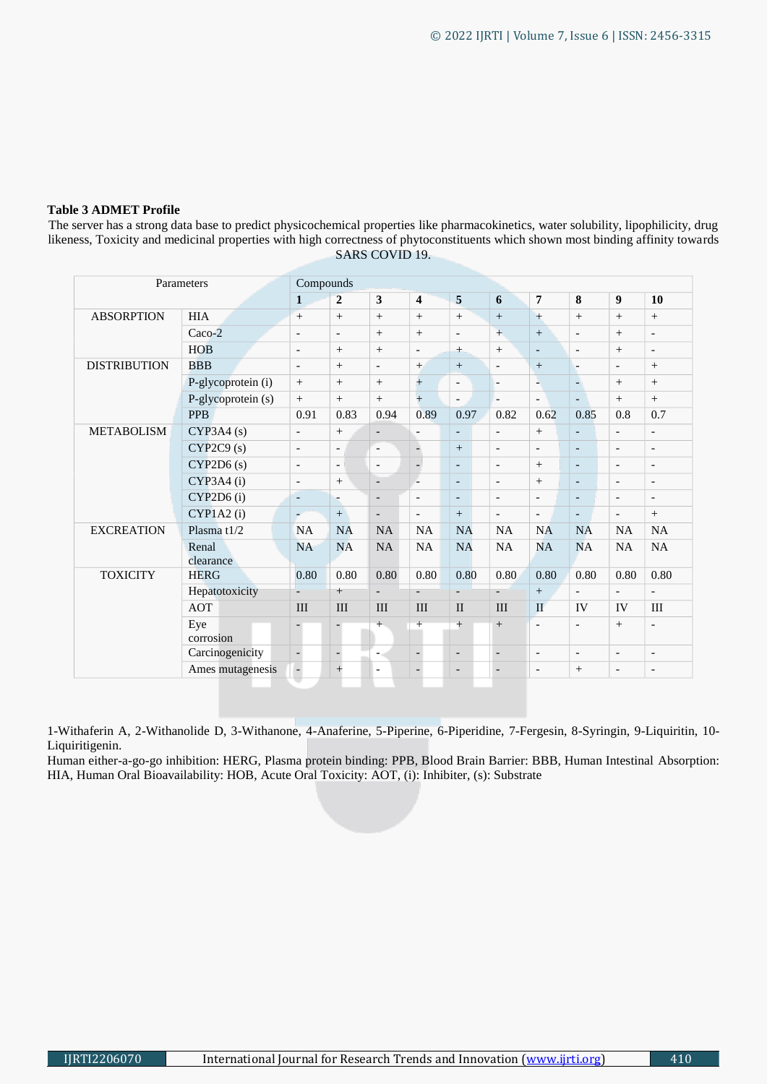#### **Table 3 ADMET Profile**

The server has a strong data base to predict physicochemical properties like pharmacokinetics, water solubility, lipophilicity, drug likeness, Toxicity and medicinal properties with high correctness of phytoconstituents which shown most binding affinity towards SARS COVID 19.

| Parameters          |                    | Compounds                |                          |                          |                          |                          |                          |                          |                          |                              |                          |
|---------------------|--------------------|--------------------------|--------------------------|--------------------------|--------------------------|--------------------------|--------------------------|--------------------------|--------------------------|------------------------------|--------------------------|
|                     |                    | $\mathbf{1}$             | $\overline{2}$           | $\overline{\mathbf{3}}$  | 4                        | 5                        | 6                        | $\overline{7}$           | 8                        | 9                            | 10                       |
| <b>ABSORPTION</b>   | <b>HIA</b>         | $+$                      | $+$                      | $+$                      | $^{+}$                   | $+$                      | $+$                      | $+$                      | $+$                      | $+$                          | $\boldsymbol{+}$         |
|                     | Caco-2             | $\overline{\phantom{a}}$ | $\overline{\phantom{a}}$ | $+$                      | $+$                      | $\overline{\phantom{m}}$ | $+$                      | $\boldsymbol{+}$         | $\overline{\phantom{a}}$ | $+$                          | $\overline{\phantom{a}}$ |
|                     | <b>HOB</b>         | $\overline{\phantom{a}}$ | $\boldsymbol{+}$         | $+$                      | $\overline{\phantom{a}}$ | $+$                      | $+$                      | $\overline{\phantom{a}}$ | $\overline{\phantom{a}}$ | $\boldsymbol{+}$             | $\overline{\phantom{a}}$ |
| <b>DISTRIBUTION</b> | <b>BBB</b>         | $\overline{\phantom{a}}$ | $+$                      | $\overline{\phantom{a}}$ | $+$                      | $+$                      | $\overline{\phantom{a}}$ | $\qquad \qquad +$        | $\overline{\phantom{a}}$ | $\overline{\phantom{a}}$     | $\boldsymbol{+}$         |
|                     | P-glycoprotein (i) | $+$                      | $+$                      | $+$                      | $\ddot{+}$               | $\overline{\phantom{a}}$ | $\overline{\phantom{a}}$ | ц                        | $\overline{\phantom{a}}$ | $+$                          | $+$                      |
|                     | P-glycoprotein (s) | $+$                      | $+$                      | $+$                      | $+$                      | $\overline{\phantom{a}}$ | $\overline{a}$           | $\overline{a}$           | $\overline{a}$           | $+$                          | $+$                      |
|                     | <b>PPB</b>         | 0.91                     | 0.83                     | 0.94                     | 0.89                     | 0.97                     | 0.82                     | 0.62                     | 0.85                     | 0.8                          | 0.7                      |
| <b>METABOLISM</b>   | $CYP3A4$ (s)       | $\overline{\phantom{a}}$ | $+$                      | $\overline{\phantom{a}}$ | $\overline{\phantom{a}}$ | $\overline{\phantom{a}}$ | $\overline{\phantom{a}}$ | $+$                      | $\overline{a}$           | $\overline{\phantom{a}}$     | $\overline{\phantom{a}}$ |
|                     | CYP2C9(s)          | $\overline{\phantom{a}}$ | $\overline{\phantom{a}}$ | $\overline{\phantom{a}}$ | $\frac{1}{2}$            | $+$                      | $\overline{a}$           | $\overline{\phantom{a}}$ | $\overline{a}$           | $\overline{\phantom{a}}$     | $\overline{\phantom{a}}$ |
|                     | CYP2D6(s)          | $\overline{\phantom{a}}$ | $\overline{\phantom{0}}$ | $\overline{\phantom{a}}$ | ÷                        | $\overline{\phantom{a}}$ | $\overline{\phantom{a}}$ | $^{+}$                   | $\overline{a}$           | $\overline{\phantom{a}}$     | $\overline{\phantom{a}}$ |
|                     | CYP3A4(i)          | $\overline{\phantom{a}}$ | $+$                      | $\overline{\phantom{a}}$ |                          | $\overline{\phantom{a}}$ | $\overline{\phantom{a}}$ | $^{+}$                   | $\overline{\phantom{a}}$ | $\overline{\phantom{0}}$     | $\overline{\phantom{a}}$ |
|                     | CYP2D6(i)          | $\overline{\phantom{a}}$ | F                        | $\overline{\phantom{a}}$ | $\overline{\phantom{a}}$ | $\overline{\phantom{a}}$ | $\overline{\phantom{a}}$ | $\overline{\phantom{a}}$ | $\overline{\phantom{a}}$ | $\qquad \qquad \blacksquare$ | $\overline{\phantom{a}}$ |
|                     | CYP1A2(i)          | ÷                        | $+$                      | $\overline{\phantom{a}}$ | $\overline{\phantom{a}}$ | $+$                      | $\overline{\phantom{a}}$ | $\overline{\phantom{a}}$ | $\overline{\phantom{a}}$ | $\overline{\phantom{a}}$     | $+$                      |
| <b>EXCREATION</b>   | Plasma $t1/2$      | <b>NA</b>                | <b>NA</b>                | NA                       | <b>NA</b>                | <b>NA</b>                | NA                       | NA                       | <b>NA</b>                | NA                           | <b>NA</b>                |
|                     | Renal<br>clearance | <b>NA</b>                | <b>NA</b>                | <b>NA</b>                | <b>NA</b>                | <b>NA</b>                | NA                       | <b>NA</b>                | NA                       | NA                           | <b>NA</b>                |
| <b>TOXICITY</b>     | <b>HERG</b>        | 0.80                     | 0.80                     | 0.80                     | 0.80                     | 0.80                     | 0.80                     | 0.80                     | 0.80                     | 0.80                         | 0.80                     |
|                     | Hepatotoxicity     | $\overline{\phantom{a}}$ | $+$                      | $\overline{\phantom{a}}$ |                          | $\overline{a}$           | $\overline{\phantom{a}}$ | $\, +$                   | $\overline{\phantom{a}}$ | $\overline{\phantom{a}}$     | $\overline{a}$           |
|                     | <b>AOT</b>         | III                      | III                      | III                      | III                      | $\mathbf{I}$             | III                      | $\mathbf{I}$             | IV                       | IV                           | III                      |
|                     | Eye<br>corrosion   |                          |                          | $^{+}$                   | $^{+}$                   | $+$                      | $+$                      | $\overline{a}$           | $\overline{\phantom{a}}$ | $\boldsymbol{+}$             | $\overline{a}$           |
|                     | Carcinogenicity    | ÷,                       | ÷,                       | $\blacksquare$           | $\overline{\phantom{a}}$ | $\overline{\phantom{a}}$ | $\overline{\phantom{a}}$ | $\overline{\phantom{a}}$ | $\overline{\phantom{a}}$ | $\overline{\phantom{a}}$     | $\overline{\phantom{a}}$ |
|                     | Ames mutagenesis   |                          | $\ddot{}$                | $\overline{\phantom{a}}$ | $\overline{\phantom{a}}$ | $\overline{\phantom{a}}$ | $\overline{\phantom{a}}$ | $\overline{\phantom{a}}$ | $^{+}$                   | $\overline{\phantom{a}}$     | $\overline{\phantom{a}}$ |

1-Withaferin A, 2-Withanolide D, 3-Withanone, 4-Anaferine, 5-Piperine, 6-Piperidine, 7-Fergesin, 8-Syringin, 9-Liquiritin, 10- Liquiritigenin.

Human either-a-go-go inhibition: HERG, Plasma protein binding: PPB, Blood Brain Barrier: BBB, Human Intestinal Absorption: HIA, Human Oral Bioavailability: HOB, Acute Oral Toxicity: AOT, (i): Inhibiter, (s): Substrate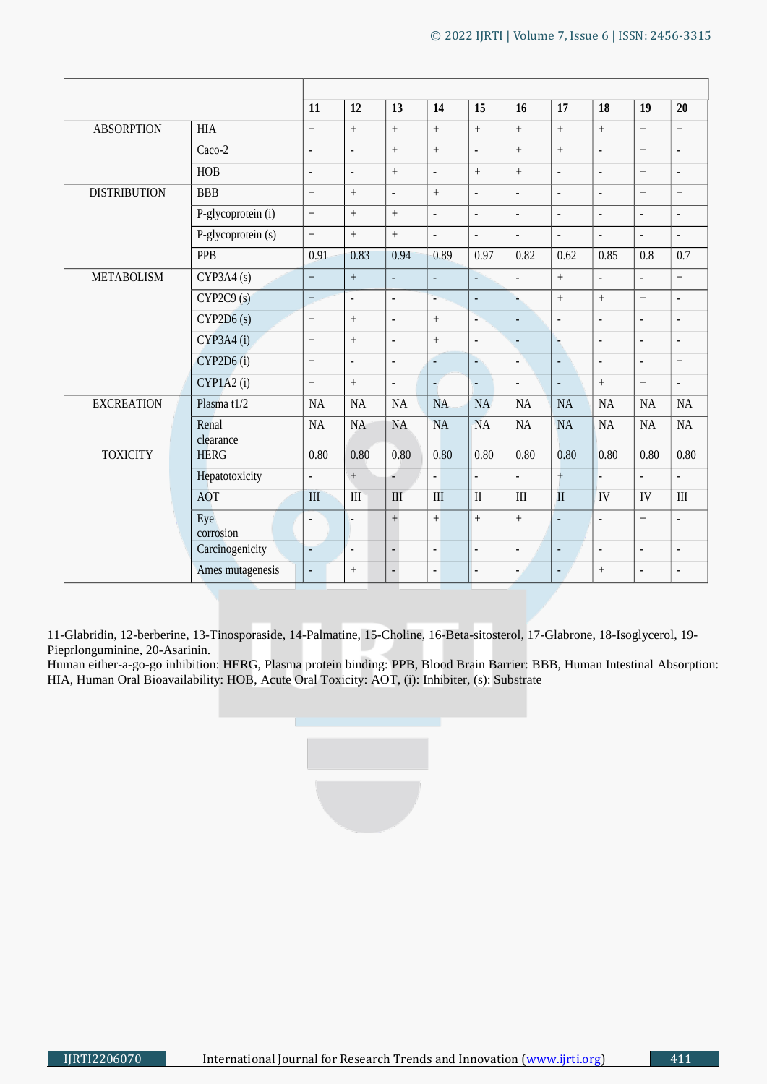|                     |                    | 11                | 12             | 13                       | 14                       | 15                       | 16                       | 17                       | 18                       | 19             | 20                       |
|---------------------|--------------------|-------------------|----------------|--------------------------|--------------------------|--------------------------|--------------------------|--------------------------|--------------------------|----------------|--------------------------|
| <b>ABSORPTION</b>   | <b>HIA</b>         | $^{+}$            | $^{+}$         | $\! + \!$                | $\! +$                   | $\boldsymbol{+}$         | $\, +$                   | $\ddag$                  | $^{+}$                   | $^{+}$         | $\! + \!$                |
|                     | Caco-2             | $\Box$            | $\overline{a}$ | $\ddot{}$                | $\ddot{}$                | $\overline{\phantom{a}}$ | $\, +$                   | $\ddot{}$                | $\Box$                   | $^{+}$         | $\overline{\phantom{a}}$ |
|                     | <b>HOB</b>         | $\blacksquare$    | $\blacksquare$ | $^{+}$                   | $\overline{\phantom{a}}$ | $\qquad \qquad +$        | $\, +$                   | $\overline{\phantom{a}}$ | $\bar{\phantom{a}}$      | $^{+}$         | $\overline{\phantom{a}}$ |
| <b>DISTRIBUTION</b> | <b>BBB</b>         | $^{+}$            | $^{+}$         | $\frac{1}{2}$            | $^{+}$                   | $\overline{\phantom{a}}$ | $\frac{1}{2}$            | $\frac{1}{2}$            | $\Box$                   | $^{+}$         | $\ddot{+}$               |
|                     | P-glycoprotein (i) | $^{+}$            | $^{+}$         | $^{+}$                   | $\overline{\phantom{a}}$ | $\Box$                   | $\overline{\phantom{a}}$ | $\blacksquare$           | $\blacksquare$           | $\frac{1}{2}$  | $\blacksquare$           |
|                     | P-glycoprotein (s) | $\qquad \qquad +$ | $^{+}$         | $\ddot{}$                | $\overline{a}$           | $\overline{a}$           | ÷,                       | $\overline{a}$           | $\overline{\phantom{a}}$ | $\overline{a}$ | ÷,                       |
|                     | PPB                | 0.91              | 0.83           | 0.94                     | 0.89                     | 0.97                     | 0.82                     | 0.62                     | 0.85                     | 0.8            | 0.7                      |
| <b>METABOLISM</b>   | CYP3A4(s)          | $^{+}$            | $^{+}$         | $\blacksquare$           | $\overline{a}$           | $\mathcal{L}$            | $\overline{a}$           | $\boldsymbol{+}$         | $\bar{\phantom{a}}$      | $\overline{a}$ | $\ddot{}$                |
|                     | CYP2C9(s)          | $+$               | $\overline{a}$ | $\frac{1}{2}$            | L,                       | $\blacksquare$           | ÷,                       | $^{+}$                   | $^{+}$                   | $^{+}$         | $\overline{\phantom{a}}$ |
|                     | CYP2D6(s)          | $^{+}$            | $^{+}$         | $\Box$                   | $\ddot{}$                | $\overline{\phantom{a}}$ | $\blacksquare$           | $\overline{\phantom{a}}$ | $\overline{\phantom{a}}$ | $\frac{1}{2}$  | $\Box$                   |
|                     | CYP3A4(i)          | $^{+}$            | $^{+}$         | $\frac{1}{2}$            | $^{+}$                   | $\bar{\phantom{a}}$      | $\blacksquare$           | L.                       | $\bar{\phantom{a}}$      | $\Box$         | $\overline{\phantom{a}}$ |
|                     | CYP2D6(i)          | $^{+}$            | $\overline{a}$ | $\frac{1}{2}$            | Ч                        | $\omega$                 | $\overline{a}$           | $\Box$                   | $\Box$                   | $\overline{a}$ | $+$                      |
|                     | CYP1A2(i)          | $^{+}$            | $^{+}$         | $\frac{1}{2}$            | $\overline{a}$           | $\Box$                   | $\overline{\phantom{a}}$ | $\overline{a}$           | $\ddot{+}$               | $^{+}$         | $\overline{\phantom{a}}$ |
| <b>EXCREATION</b>   | Plasma t1/2        | <b>NA</b>         | <b>NA</b>      | <b>NA</b>                | <b>NA</b>                | NA                       | <b>NA</b>                | <b>NA</b>                | <b>NA</b>                | <b>NA</b>      | <b>NA</b>                |
|                     | Renal<br>clearance | <b>NA</b>         | <b>NA</b>      | <b>NA</b>                | <b>NA</b>                | <b>NA</b>                | <b>NA</b>                | <b>NA</b>                | <b>NA</b>                | <b>NA</b>      | <b>NA</b>                |
| <b>TOXICITY</b>     | <b>HERG</b>        | 0.80              | 0.80           | 0.80                     | 0.80                     | 0.80                     | 0.80                     | 0.80                     | 0.80                     | 0.80           | 0.80                     |
|                     | Hepatotoxicity     | $\Box$            | $^{+}$         | ÷,                       | ä,                       | $\blacksquare$           | $\overline{\phantom{a}}$ | $+$                      | L.                       | $\blacksquare$ | $\blacksquare$           |
|                     | <b>AOT</b>         | III               | $\rm III$      | III                      | III                      | $\rm II$                 | III                      | $\overline{\mathbf{u}}$  | IV                       | IV             | III                      |
|                     | Eye<br>corrosion   | $\blacksquare$    |                | $\qquad \qquad +$        | $\ddot{}$                | $^{+}$                   | $\, +$                   | $\blacksquare$           | $\blacksquare$           | $\ddot{}$      | ÷,                       |
|                     | Carcinogenicity    | $\Box$            | $\overline{a}$ | $\Box$                   | $\frac{1}{2}$            | $\blacksquare$           | $\overline{\phantom{a}}$ | $\overline{a}$           | $\overline{\phantom{a}}$ | $\blacksquare$ | $\Box$                   |
|                     | Ames mutagenesis   | $\blacksquare$    | $^{+}$         | $\overline{\phantom{a}}$ | $\overline{a}$           | $\blacksquare$           | $\blacksquare$           | $\blacksquare$           | $^{+}$                   | $\overline{a}$ | $\overline{\phantom{a}}$ |

11-Glabridin, 12-berberine, 13-Tinosporaside, 14-Palmatine, 15-Choline, 16-Beta-sitosterol, 17-Glabrone, 18-Isoglycerol, 19- Pieprlonguminine, 20-Asarinin.

Human either-a-go-go inhibition: HERG, Plasma protein binding: PPB, Blood Brain Barrier: BBB, Human Intestinal Absorption: HIA, Human Oral Bioavailability: HOB, Acute Oral Toxicity: AOT, (i): Inhibiter, (s): Substrate

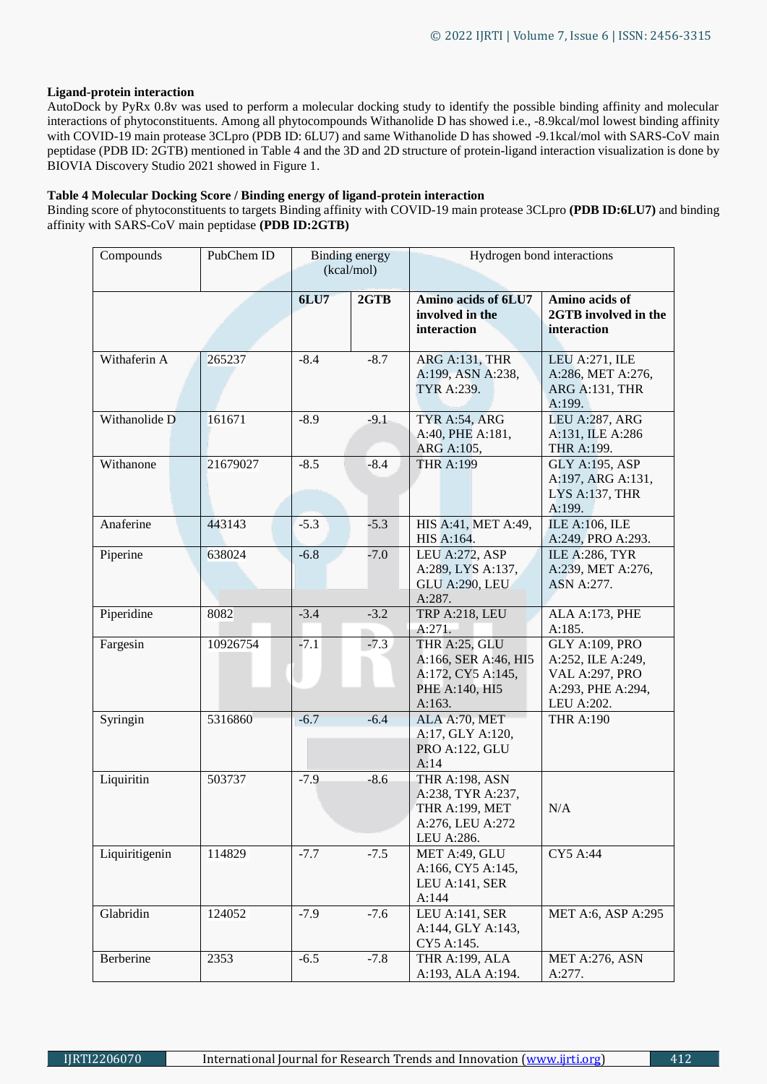## **Ligand-protein interaction**

AutoDock by PyRx 0.8v was used to perform a molecular docking study to identify the possible binding affinity and molecular interactions of phytoconstituents. Among all phytocompounds Withanolide D has showed i.e., -8.9kcal/mol lowest binding affinity with COVID-19 main protease 3CLpro (PDB ID: 6LU7) and same Withanolide D has showed -9.1kcal/mol with SARS-CoV main peptidase (PDB ID: 2GTB) mentioned in Table 4 and the 3D and 2D structure of protein-ligand interaction visualization is done by BIOVIA Discovery Studio 2021 showed in Figure 1.

## **Table 4 Molecular Docking Score / Binding energy of ligand-protein interaction**

Binding score of phytoconstituents to targets Binding affinity with COVID-19 main protease 3CLpro **(PDB ID:6LU7)** and binding affinity with SARS-CoV main peptidase **(PDB ID:2GTB)**

| Compounds      | PubChem ID | <b>Binding energy</b><br>(kcal/mol) |        | Hydrogen bond interactions                                                                     |                                                                                                        |  |  |  |
|----------------|------------|-------------------------------------|--------|------------------------------------------------------------------------------------------------|--------------------------------------------------------------------------------------------------------|--|--|--|
|                |            |                                     |        |                                                                                                |                                                                                                        |  |  |  |
|                |            | <b>6LU7</b>                         | 2GTB   | Amino acids of 6LU7<br>involved in the<br>interaction                                          | Amino acids of<br>2GTB involved in the<br>interaction                                                  |  |  |  |
| Withaferin A   | 265237     | $-8.4$                              | $-8.7$ | ARG A:131, THR<br>A:199, ASN A:238,<br>TYR A:239.                                              | LEU A:271, ILE<br>A:286, MET A:276,<br><b>ARG A:131, THR</b><br>A:199.                                 |  |  |  |
| Withanolide D  | 161671     | $-8.9$                              | $-9.1$ | TYR A:54, ARG<br>A:40, PHE A:181,<br>ARG A:105,                                                | LEU A:287, ARG<br>A:131, ILE A:286<br>THR A:199.                                                       |  |  |  |
| Withanone      | 21679027   | $-8.5$                              | $-8.4$ | <b>THR A:199</b>                                                                               | <b>GLY A:195, ASP</b><br>A:197, ARG A:131,<br>LYS A:137, THR<br>A:199.                                 |  |  |  |
| Anaferine      | 443143     | $-5.3$                              | $-5.3$ | HIS A:41, MET A:49,<br>HIS A:164.                                                              | ILE A:106, ILE<br>A:249, PRO A:293.                                                                    |  |  |  |
| Piperine       | 638024     | $-6.8$                              | $-7.0$ | LEU A:272, ASP<br>A:289, LYS A:137,<br><b>GLU A:290, LEU</b><br>A:287.                         | <b>ILE A:286, TYR</b><br>A:239, MET A:276,<br>ASN A:277.                                               |  |  |  |
| Piperidine     | 8082       | $-3.4$                              | $-3.2$ | TRP A:218, LEU<br>A:271.                                                                       | <b>ALA A:173, PHE</b><br>A:185.                                                                        |  |  |  |
| Fargesin       | 10926754   | $-7.1$                              | $-7.3$ | THR A:25, GLU<br>A:166, SER A:46, HI5<br>A:172, CY5 A:145,<br>PHE A:140, HI5<br>A:163.         | <b>GLY A:109, PRO</b><br>A:252, ILE A:249,<br><b>VAL A:297, PRO</b><br>A:293, PHE A:294,<br>LEU A:202. |  |  |  |
| Syringin       | 5316860    | $-6.7$                              | $-6.4$ | ALA A:70, MET<br>A:17, GLY A:120,<br>PRO A:122, GLU<br>A:14                                    | <b>THR A:190</b>                                                                                       |  |  |  |
| Liquiritin     | 503737     | $-7.9$                              | $-8.6$ | <b>THR A:198, ASN</b><br>A:238, TYR A:237,<br>THR A:199, MET<br>A:276, LEU A:272<br>LEU A:286. | N/A                                                                                                    |  |  |  |
| Liquiritigenin | 114829     | $-7.7$                              | $-7.5$ | MET A:49, GLU<br>A:166, CY5 A:145,<br>LEU A:141, SER<br>A:144                                  | CY5 A:44                                                                                               |  |  |  |
| Glabridin      | 124052     | $-7.9$                              | $-7.6$ | LEU A:141, SER<br>A:144, GLY A:143,<br>CY5 A:145.                                              | MET A:6, ASP A:295                                                                                     |  |  |  |
| Berberine      | 2353       | $-6.5$                              | $-7.8$ | THR A:199, ALA<br>A:193, ALA A:194.                                                            | MET A:276, ASN<br>A:277.                                                                               |  |  |  |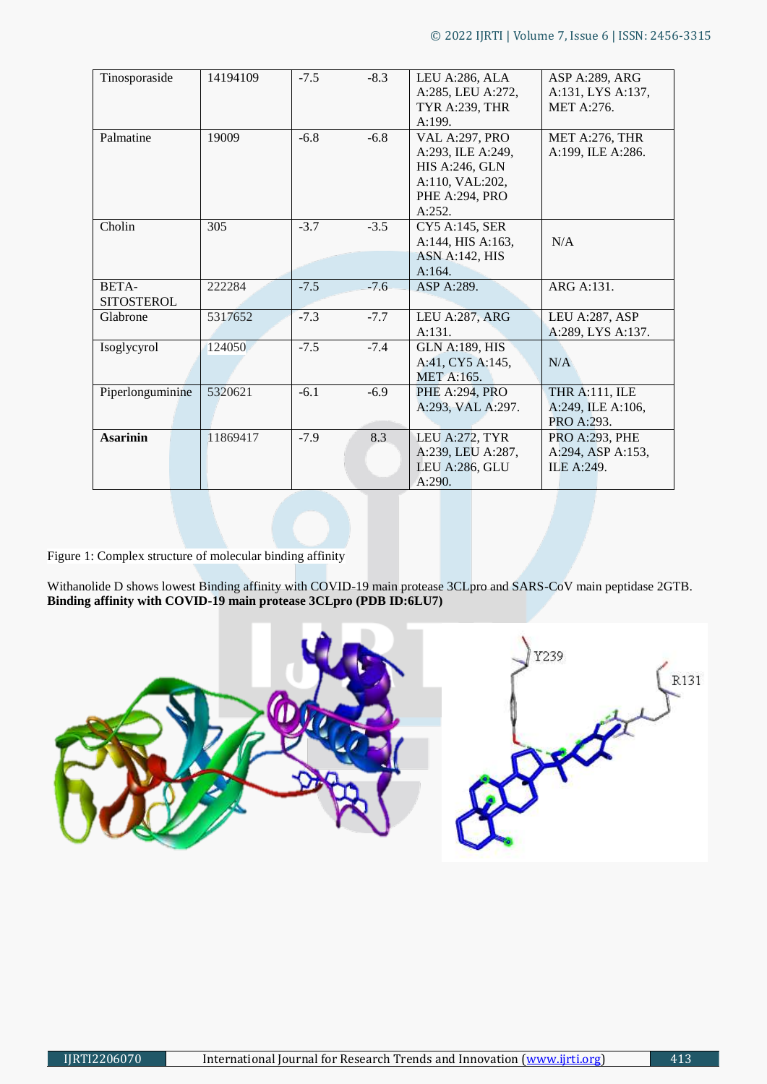| Tinosporaside     | 14194109 | $-7.5$           | $-8.3$ | LEU A:286, ALA        | ASP A:289, ARG        |  |  |
|-------------------|----------|------------------|--------|-----------------------|-----------------------|--|--|
|                   |          |                  |        | A:285, LEU A:272,     | A:131, LYS A:137,     |  |  |
|                   |          |                  |        | <b>TYR A:239, THR</b> | <b>MET A:276.</b>     |  |  |
|                   |          |                  |        | A:199.                |                       |  |  |
| Palmatine         | 19009    | $-6.8$           | $-6.8$ | <b>VAL A:297, PRO</b> | MET A:276, THR        |  |  |
|                   |          |                  |        | A:293, ILE A:249,     | A:199, ILE A:286.     |  |  |
|                   |          |                  |        | <b>HIS A:246, GLN</b> |                       |  |  |
|                   |          |                  |        | A:110, VAL:202,       |                       |  |  |
|                   |          |                  |        | PHE A:294, PRO        |                       |  |  |
|                   |          |                  |        | A:252.                |                       |  |  |
| Cholin            | 305      | $-3.7$           | $-3.5$ | CY5 A:145, SER        |                       |  |  |
|                   |          |                  |        | A:144, HIS A:163,     | N/A                   |  |  |
|                   |          |                  |        | <b>ASN A:142, HIS</b> |                       |  |  |
|                   |          |                  |        | A:164.                |                       |  |  |
| BETA-             | 222284   | $-7.5$           | $-7.6$ | ASP A:289.            | ARG A:131.            |  |  |
| <b>SITOSTEROL</b> |          |                  |        |                       |                       |  |  |
| Glabrone          | 5317652  | $-7.3$           | $-7.7$ | LEU A:287, ARG        | LEU A:287, ASP        |  |  |
|                   |          |                  |        | A:131.                | A:289, LYS A:137.     |  |  |
| Isoglycyrol       | 124050   | $-7.5$           | $-7.4$ | <b>GLN A:189, HIS</b> |                       |  |  |
|                   |          |                  |        | A:41, CY5 A:145,      | N/A                   |  |  |
|                   |          |                  |        | <b>MET A:165.</b>     |                       |  |  |
| Piperlonguminine  | 5320621  | $-6.1$<br>$-6.9$ |        | PHE A:294, PRO        | <b>THR A:111, ILE</b> |  |  |
|                   |          |                  |        | A:293, VAL A:297.     | A:249, ILE A:106,     |  |  |
|                   |          |                  |        |                       | PRO A:293.            |  |  |
| <b>Asarinin</b>   | 11869417 | $-7.9$           | 8.3    | LEU A:272, TYR        | <b>PRO A:293, PHE</b> |  |  |
|                   |          |                  |        | A:239, LEU A:287,     | A:294, ASP A:153,     |  |  |
|                   |          |                  |        | LEU A:286, GLU        | ILE A:249.            |  |  |
|                   |          |                  |        | A:290.                |                       |  |  |
|                   |          |                  |        |                       |                       |  |  |

Figure 1: Complex structure of molecular binding affinity

Withanolide D shows lowest Binding affinity with COVID-19 main protease 3CLpro and SARS-CoV main peptidase 2GTB. **Binding affinity with COVID-19 main protease 3CLpro (PDB ID:6LU7)**

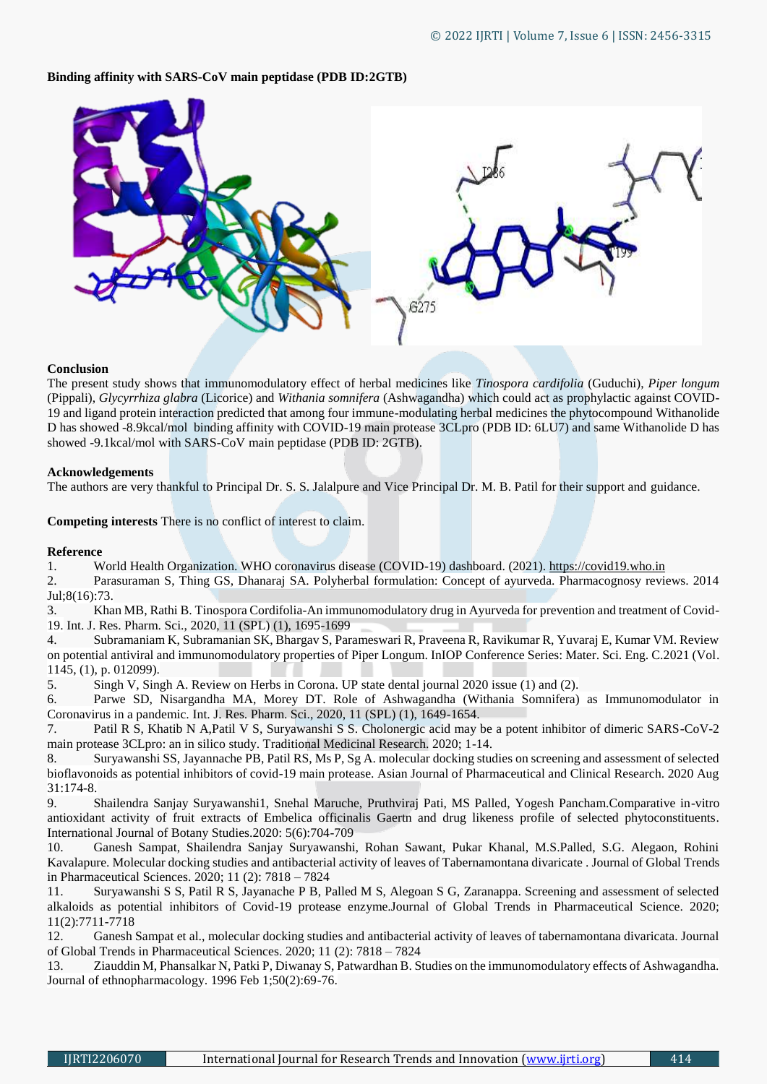## **Binding affinity with SARS-CoV main peptidase (PDB ID:2GTB)**



#### **Conclusion**

The present study shows that immunomodulatory effect of herbal medicines like *Tinospora cardifolia* (Guduchi), *Piper longum* (Pippali), *Glycyrrhiza glabra* (Licorice) and *Withania somnifera* (Ashwagandha) which could act as prophylactic against COVID-19 and ligand protein interaction predicted that among four immune-modulating herbal medicines the phytocompound Withanolide D has showed -8.9kcal/mol binding affinity with COVID-19 main protease 3CLpro (PDB ID: 6LU7) and same Withanolide D has showed -9.1kcal/mol with SARS-CoV main peptidase (PDB ID: 2GTB).

#### **Acknowledgements**

The authors are very thankful to Principal Dr. S. S. Jalalpure and Vice Principal Dr. M. B. Patil for their support and guidance.

**Competing interests** There is no conflict of interest to claim.

## **Reference**

1. World Health Organization. WHO coronavirus disease (COVID-19) dashboard. (2021). [https://covid19.who.in](https://covid19.who.in/)

2. Parasuraman S, Thing GS, Dhanaraj SA. Polyherbal formulation: Concept of ayurveda. Pharmacognosy reviews. 2014 Jul;8(16):73.

3. Khan MB, Rathi B. Tinospora Cordifolia-An immunomodulatory drug in Ayurveda for prevention and treatment of Covid-19. Int. J. Res. Pharm. Sci., 2020, 11 (SPL) (1), 1695-1699

4. Subramaniam K, Subramanian SK, Bhargav S, Parameswari R, Praveena R, Ravikumar R, Yuvaraj E, Kumar VM. Review on potential antiviral and immunomodulatory properties of Piper Longum. InIOP Conference Series: Mater. Sci. Eng. C.2021 (Vol. 1145, (1), p. 012099).

5. Singh V, Singh A. Review on Herbs in Corona. UP state dental journal 2020 issue (1) and (2).

6. Parwe SD, Nisargandha MA, Morey DT. Role of Ashwagandha (Withania Somnifera) as Immunomodulator in Coronavirus in a pandemic. Int. J. Res. Pharm. Sci., 2020, 11 (SPL) (1), 1649-1654.

7. Patil R S, Khatib N A,Patil V S, Suryawanshi S S. Cholonergic acid may be a potent inhibitor of dimeric SARS-CoV-2 main protease 3CLpro: an in silico study. Traditional Medicinal Research. 2020; 1-14.

8. Suryawanshi SS, Jayannache PB, Patil RS, Ms P, Sg A. molecular docking studies on screening and assessment of selected bioflavonoids as potential inhibitors of covid-19 main protease. Asian Journal of Pharmaceutical and Clinical Research. 2020 Aug 31:174-8.

9. Shailendra Sanjay Suryawanshi1, Snehal Maruche, Pruthviraj Pati, MS Palled, Yogesh Pancham.Comparative in-vitro antioxidant activity of fruit extracts of Embelica officinalis Gaertn and drug likeness profile of selected phytoconstituents. International Journal of Botany Studies.2020: 5(6):704-709

10. Ganesh Sampat, Shailendra Sanjay Suryawanshi, Rohan Sawant, Pukar Khanal, M.S.Palled, S.G. Alegaon, Rohini Kavalapure. Molecular docking studies and antibacterial activity of leaves of Tabernamontana divaricate . Journal of Global Trends in Pharmaceutical Sciences. 2020; 11 (2): 7818 – 7824

11. Suryawanshi S S, Patil R S, Jayanache P B, Palled M S, Alegoan S G, Zaranappa. Screening and assessment of selected alkaloids as potential inhibitors of Covid-19 protease enzyme.Journal of Global Trends in Pharmaceutical Science. 2020; 11(2):7711-7718

12. Ganesh Sampat et al., molecular docking studies and antibacterial activity of leaves of tabernamontana divaricata. Journal of Global Trends in Pharmaceutical Sciences. 2020; 11 (2): 7818 – 7824

13. Ziauddin M, Phansalkar N, Patki P, Diwanay S, Patwardhan B. Studies on the immunomodulatory effects of Ashwagandha. Journal of ethnopharmacology. 1996 Feb 1;50(2):69-76.